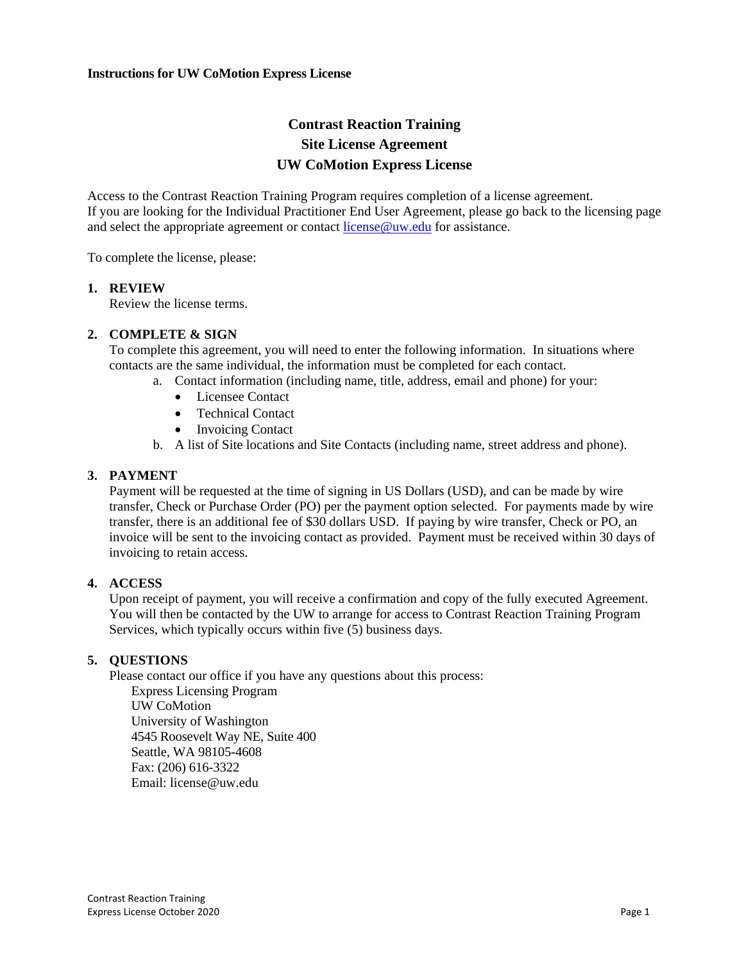# **Contrast Reaction Training Site License Agreement UW CoMotion Express License**

Access to the Contrast Reaction Training Program requires completion of a license agreement. If you are looking for the Individual Practitioner End User Agreement, please go back to the licensing page and select the appropriate agreement or contact [license@uw.edu](mailto:license@uw.edu) for assistance.

To complete the license, please:

#### **1. REVIEW**

Review the license terms.

## **2. COMPLETE & SIGN**

To complete this agreement, you will need to enter the following information. In situations where contacts are the same individual, the information must be completed for each contact.

- a. Contact information (including name, title, address, email and phone) for your:
	- Licensee Contact
	- Technical Contact
	- Invoicing Contact
- b. A list of Site locations and Site Contacts (including name, street address and phone).

#### **3. PAYMENT**

Payment will be requested at the time of signing in US Dollars (USD), and can be made by wire transfer, Check or Purchase Order (PO) per the payment option selected. For payments made by wire transfer, there is an additional fee of \$30 dollars USD. If paying by wire transfer, Check or PO, an invoice will be sent to the invoicing contact as provided. Payment must be received within 30 days of invoicing to retain access.

## **4. ACCESS**

Upon receipt of payment, you will receive a confirmation and copy of the fully executed Agreement. You will then be contacted by the UW to arrange for access to Contrast Reaction Training Program Services, which typically occurs within five (5) business days.

## **5. QUESTIONS**

Please contact our office if you have any questions about this process:

Express Licensing Program UW CoMotion University of Washington 4545 Roosevelt Way NE, Suite 400 Seattle, WA 98105-4608 Fax: (206) 616-3322 Email: license@uw.edu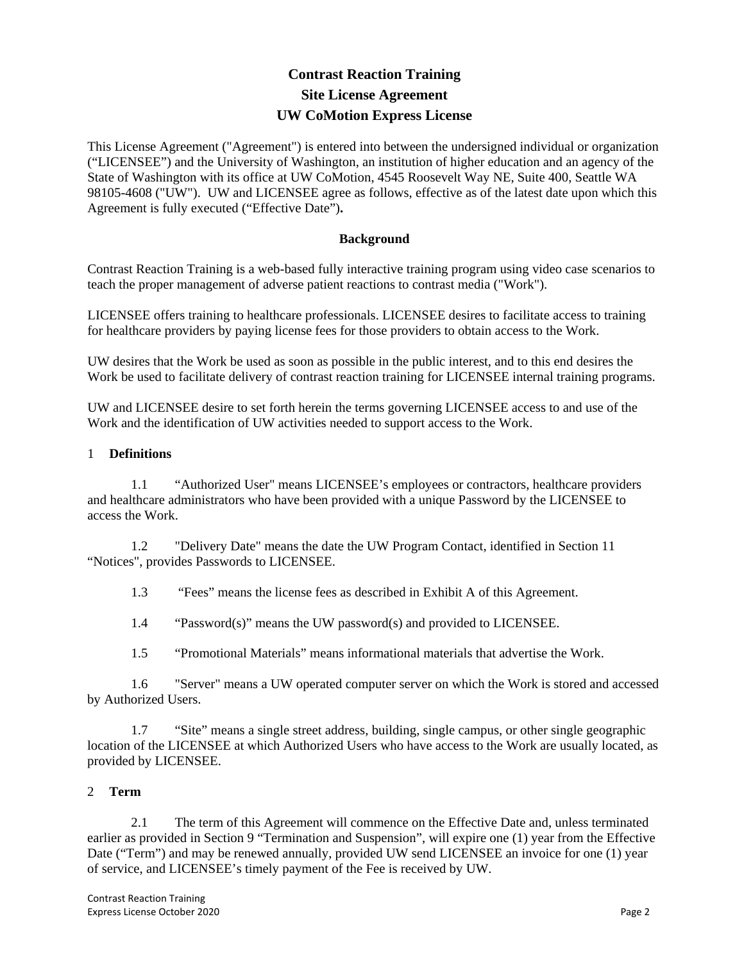# **Contrast Reaction Training Site License Agreement UW CoMotion Express License**

This License Agreement ("Agreement") is entered into between the undersigned individual or organization ("LICENSEE") and the University of Washington, an institution of higher education and an agency of the State of Washington with its office at UW CoMotion, 4545 Roosevelt Way NE, Suite 400, Seattle WA 98105-4608 ("UW"). UW and LICENSEE agree as follows, effective as of the latest date upon which this Agreement is fully executed ("Effective Date")**.**

## **Background**

Contrast Reaction Training is a web-based fully interactive training program using video case scenarios to teach the proper management of adverse patient reactions to contrast media ("Work").

LICENSEE offers training to healthcare professionals. LICENSEE desires to facilitate access to training for healthcare providers by paying license fees for those providers to obtain access to the Work.

UW desires that the Work be used as soon as possible in the public interest, and to this end desires the Work be used to facilitate delivery of contrast reaction training for LICENSEE internal training programs.

UW and LICENSEE desire to set forth herein the terms governing LICENSEE access to and use of the Work and the identification of UW activities needed to support access to the Work.

## 1 **Definitions**

1.1 "Authorized User" means LICENSEE's employees or contractors, healthcare providers and healthcare administrators who have been provided with a unique Password by the LICENSEE to access the Work.

1.2 "Delivery Date" means the date the UW Program Contact, identified in Section 11 "Notices", provides Passwords to LICENSEE.

1.3 "Fees" means the license fees as described in Exhibit A of this Agreement.

1.4 "Password(s)" means the UW password(s) and provided to LICENSEE.

1.5 "Promotional Materials" means informational materials that advertise the Work.

1.6 "Server" means a UW operated computer server on which the Work is stored and accessed by Authorized Users.

1.7 "Site" means a single street address, building, single campus, or other single geographic location of the LICENSEE at which Authorized Users who have access to the Work are usually located, as provided by LICENSEE.

## 2 **Term**

2.1 The term of this Agreement will commence on the Effective Date and, unless terminated earlier as provided in Section 9 "Termination and Suspension", will expire one (1) year from the Effective Date ("Term") and may be renewed annually, provided UW send LICENSEE an invoice for one (1) year of service, and LICENSEE's timely payment of the Fee is received by UW.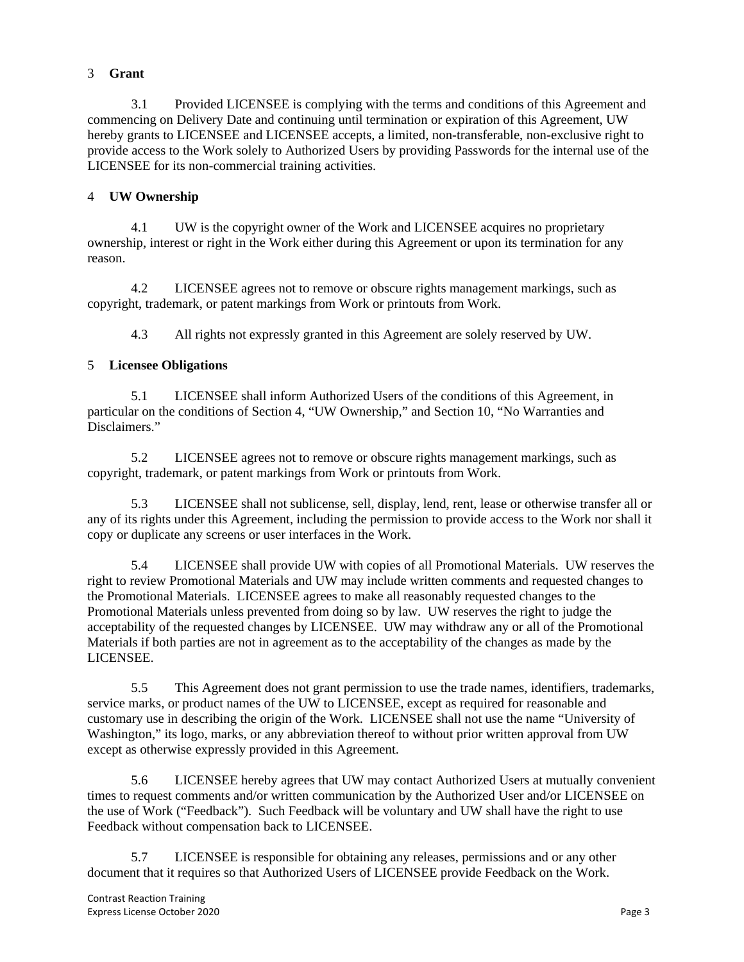# 3 **Grant**

3.1 Provided LICENSEE is complying with the terms and conditions of this Agreement and commencing on Delivery Date and continuing until termination or expiration of this Agreement, UW hereby grants to LICENSEE and LICENSEE accepts, a limited, non-transferable, non-exclusive right to provide access to the Work solely to Authorized Users by providing Passwords for the internal use of the LICENSEE for its non-commercial training activities.

# 4 **UW Ownership**

4.1 UW is the copyright owner of the Work and LICENSEE acquires no proprietary ownership, interest or right in the Work either during this Agreement or upon its termination for any reason.

4.2 LICENSEE agrees not to remove or obscure rights management markings, such as copyright, trademark, or patent markings from Work or printouts from Work.

4.3 All rights not expressly granted in this Agreement are solely reserved by UW.

# 5 **Licensee Obligations**

5.1 LICENSEE shall inform Authorized Users of the conditions of this Agreement, in particular on the conditions of Section 4, "UW Ownership," and Section 10, "No Warranties and Disclaimers."

5.2 LICENSEE agrees not to remove or obscure rights management markings, such as copyright, trademark, or patent markings from Work or printouts from Work.

5.3 LICENSEE shall not sublicense, sell, display, lend, rent, lease or otherwise transfer all or any of its rights under this Agreement, including the permission to provide access to the Work nor shall it copy or duplicate any screens or user interfaces in the Work.

5.4 LICENSEE shall provide UW with copies of all Promotional Materials. UW reserves the right to review Promotional Materials and UW may include written comments and requested changes to the Promotional Materials. LICENSEE agrees to make all reasonably requested changes to the Promotional Materials unless prevented from doing so by law. UW reserves the right to judge the acceptability of the requested changes by LICENSEE. UW may withdraw any or all of the Promotional Materials if both parties are not in agreement as to the acceptability of the changes as made by the LICENSEE.

5.5 This Agreement does not grant permission to use the trade names, identifiers, trademarks, service marks, or product names of the UW to LICENSEE, except as required for reasonable and customary use in describing the origin of the Work. LICENSEE shall not use the name "University of Washington," its logo, marks, or any abbreviation thereof to without prior written approval from UW except as otherwise expressly provided in this Agreement.

5.6 LICENSEE hereby agrees that UW may contact Authorized Users at mutually convenient times to request comments and/or written communication by the Authorized User and/or LICENSEE on the use of Work ("Feedback"). Such Feedback will be voluntary and UW shall have the right to use Feedback without compensation back to LICENSEE.

5.7 LICENSEE is responsible for obtaining any releases, permissions and or any other document that it requires so that Authorized Users of LICENSEE provide Feedback on the Work.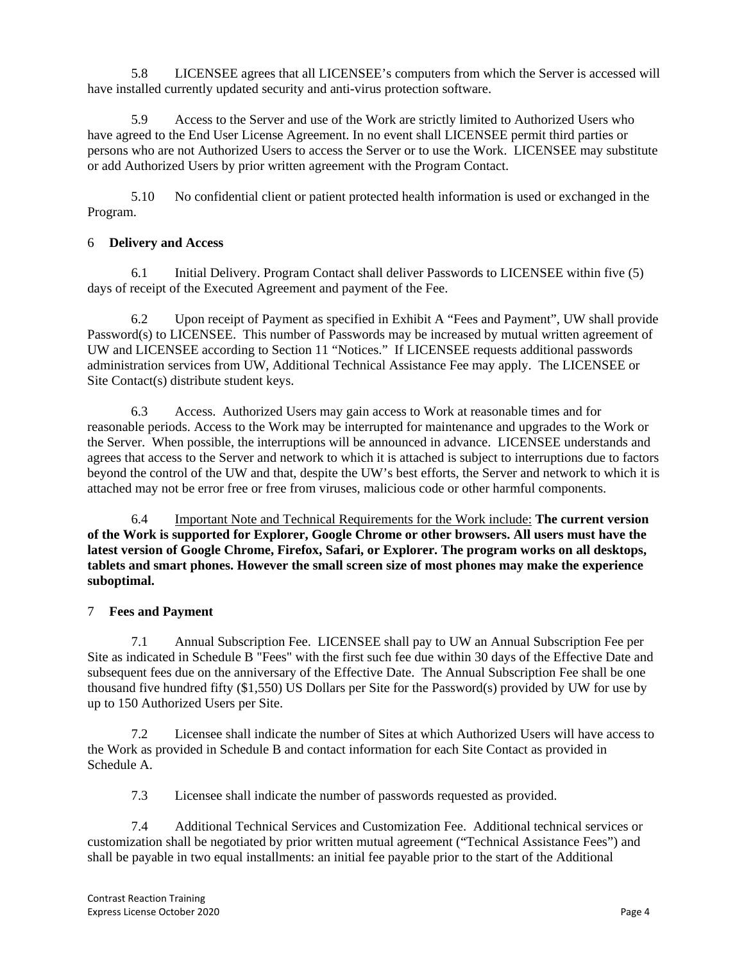5.8 LICENSEE agrees that all LICENSEE's computers from which the Server is accessed will have installed currently updated security and anti-virus protection software.

5.9 Access to the Server and use of the Work are strictly limited to Authorized Users who have agreed to the End User License Agreement. In no event shall LICENSEE permit third parties or persons who are not Authorized Users to access the Server or to use the Work. LICENSEE may substitute or add Authorized Users by prior written agreement with the Program Contact.

5.10 No confidential client or patient protected health information is used or exchanged in the Program.

## 6 **Delivery and Access**

6.1 Initial Delivery. Program Contact shall deliver Passwords to LICENSEE within five (5) days of receipt of the Executed Agreement and payment of the Fee.

6.2 Upon receipt of Payment as specified in Exhibit A "Fees and Payment", UW shall provide Password(s) to LICENSEE. This number of Passwords may be increased by mutual written agreement of UW and LICENSEE according to Section 11 "Notices." If LICENSEE requests additional passwords administration services from UW, Additional Technical Assistance Fee may apply. The LICENSEE or Site Contact(s) distribute student keys.

6.3 Access. Authorized Users may gain access to Work at reasonable times and for reasonable periods. Access to the Work may be interrupted for maintenance and upgrades to the Work or the Server. When possible, the interruptions will be announced in advance. LICENSEE understands and agrees that access to the Server and network to which it is attached is subject to interruptions due to factors beyond the control of the UW and that, despite the UW's best efforts, the Server and network to which it is attached may not be error free or free from viruses, malicious code or other harmful components.

6.4 Important Note and Technical Requirements for the Work include: **The current version of the Work is supported for Explorer, Google Chrome or other browsers. All users must have the latest version of Google Chrome, Firefox, Safari, or Explorer. The program works on all desktops, tablets and smart phones. However the small screen size of most phones may make the experience suboptimal.** 

# 7 **Fees and Payment**

7.1 Annual Subscription Fee. LICENSEE shall pay to UW an Annual Subscription Fee per Site as indicated in Schedule B "Fees" with the first such fee due within 30 days of the Effective Date and subsequent fees due on the anniversary of the Effective Date. The Annual Subscription Fee shall be one thousand five hundred fifty (\$1,550) US Dollars per Site for the Password(s) provided by UW for use by up to 150 Authorized Users per Site.

7.2 Licensee shall indicate the number of Sites at which Authorized Users will have access to the Work as provided in Schedule B and contact information for each Site Contact as provided in Schedule A.

7.3 Licensee shall indicate the number of passwords requested as provided.

7.4 Additional Technical Services and Customization Fee. Additional technical services or customization shall be negotiated by prior written mutual agreement ("Technical Assistance Fees") and shall be payable in two equal installments: an initial fee payable prior to the start of the Additional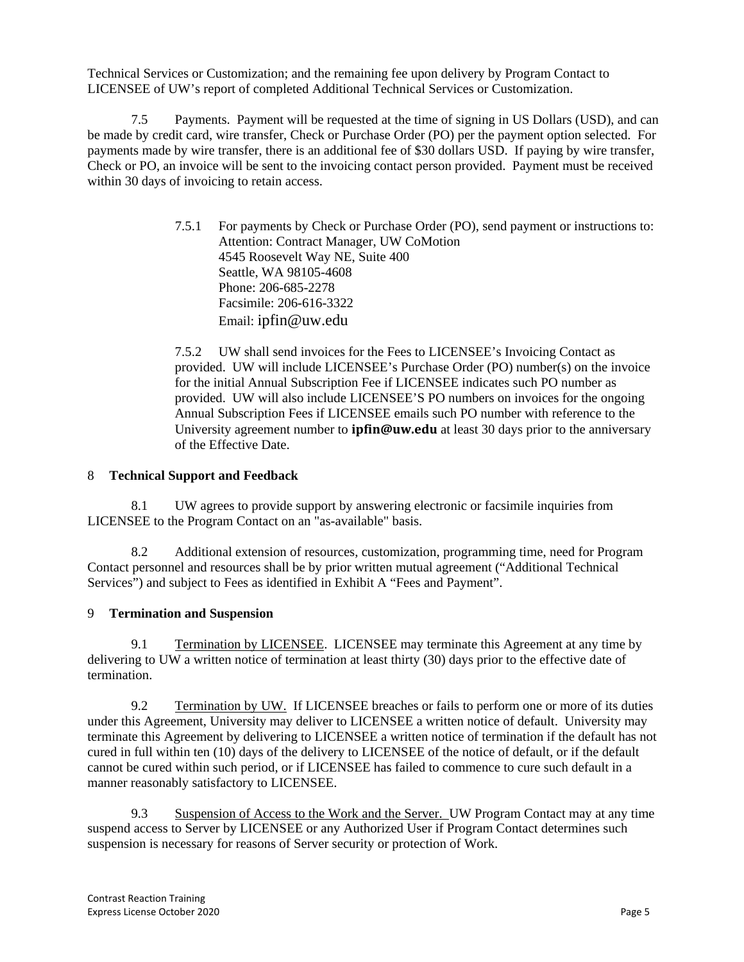Technical Services or Customization; and the remaining fee upon delivery by Program Contact to LICENSEE of UW's report of completed Additional Technical Services or Customization.

7.5 Payments. Payment will be requested at the time of signing in US Dollars (USD), and can be made by credit card, wire transfer, Check or Purchase Order (PO) per the payment option selected. For payments made by wire transfer, there is an additional fee of \$30 dollars USD. If paying by wire transfer, Check or PO, an invoice will be sent to the invoicing contact person provided. Payment must be received within 30 days of invoicing to retain access.

> 7.5.1 For payments by Check or Purchase Order (PO), send payment or instructions to: Attention: Contract Manager, UW CoMotion 4545 Roosevelt Way NE, Suite 400 Seattle, WA 98105-4608 Phone: 206-685-2278 Facsimile: 206-616-3322 Email: [ipfin@uw.edu](mailto:ipfin@uw.edu)

> 7.5.2 UW shall send invoices for the Fees to LICENSEE's Invoicing Contact as provided. UW will include LICENSEE's Purchase Order (PO) number(s) on the invoice for the initial Annual Subscription Fee if LICENSEE indicates such PO number as provided. UW will also include LICENSEE'S PO numbers on invoices for the ongoing Annual Subscription Fees if LICENSEE emails such PO number with reference to the University agreement number to **[ipfin@uw.edu](mailto:ipfin@uw.edu)** at least 30 days prior to the anniversary of the Effective Date.

## 8 **Technical Support and Feedback**

8.1 UW agrees to provide support by answering electronic or facsimile inquiries from LICENSEE to the Program Contact on an "as-available" basis.

8.2 Additional extension of resources, customization, programming time, need for Program Contact personnel and resources shall be by prior written mutual agreement ("Additional Technical Services") and subject to Fees as identified in Exhibit A "Fees and Payment".

# 9 **Termination and Suspension**

9.1 Termination by LICENSEE. LICENSEE may terminate this Agreement at any time by delivering to UW a written notice of termination at least thirty (30) days prior to the effective date of termination.

9.2 Termination by UW. If LICENSEE breaches or fails to perform one or more of its duties under this Agreement, University may deliver to LICENSEE a written notice of default. University may terminate this Agreement by delivering to LICENSEE a written notice of termination if the default has not cured in full within ten (10) days of the delivery to LICENSEE of the notice of default, or if the default cannot be cured within such period, or if LICENSEE has failed to commence to cure such default in a manner reasonably satisfactory to LICENSEE.

9.3 Suspension of Access to the Work and the Server. UW Program Contact may at any time suspend access to Server by LICENSEE or any Authorized User if Program Contact determines such suspension is necessary for reasons of Server security or protection of Work.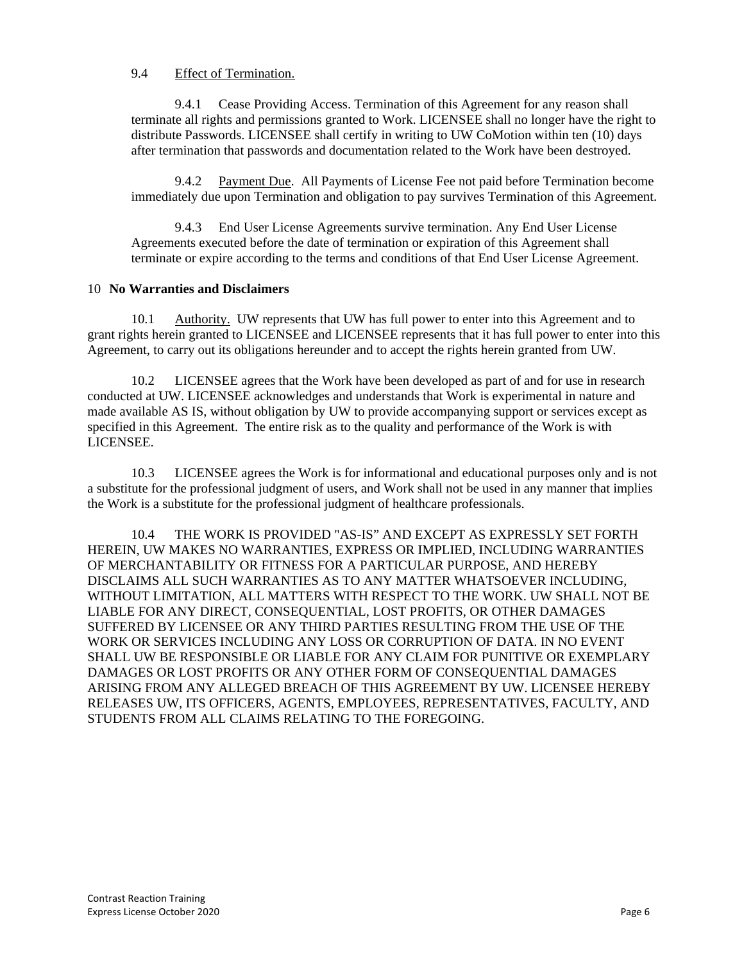## 9.4 Effect of Termination.

9.4.1 Cease Providing Access. Termination of this Agreement for any reason shall terminate all rights and permissions granted to Work. LICENSEE shall no longer have the right to distribute Passwords. LICENSEE shall certify in writing to UW CoMotion within ten (10) days after termination that passwords and documentation related to the Work have been destroyed.

9.4.2 Payment Due. All Payments of License Fee not paid before Termination become immediately due upon Termination and obligation to pay survives Termination of this Agreement.

9.4.3 End User License Agreements survive termination. Any End User License Agreements executed before the date of termination or expiration of this Agreement shall terminate or expire according to the terms and conditions of that End User License Agreement.

## 10 **No Warranties and Disclaimers**

10.1 Authority. UW represents that UW has full power to enter into this Agreement and to grant rights herein granted to LICENSEE and LICENSEE represents that it has full power to enter into this Agreement, to carry out its obligations hereunder and to accept the rights herein granted from UW.

10.2 LICENSEE agrees that the Work have been developed as part of and for use in research conducted at UW. LICENSEE acknowledges and understands that Work is experimental in nature and made available AS IS, without obligation by UW to provide accompanying support or services except as specified in this Agreement. The entire risk as to the quality and performance of the Work is with LICENSEE.

10.3 LICENSEE agrees the Work is for informational and educational purposes only and is not a substitute for the professional judgment of users, and Work shall not be used in any manner that implies the Work is a substitute for the professional judgment of healthcare professionals.

10.4 THE WORK IS PROVIDED "AS-IS" AND EXCEPT AS EXPRESSLY SET FORTH HEREIN, UW MAKES NO WARRANTIES, EXPRESS OR IMPLIED, INCLUDING WARRANTIES OF MERCHANTABILITY OR FITNESS FOR A PARTICULAR PURPOSE, AND HEREBY DISCLAIMS ALL SUCH WARRANTIES AS TO ANY MATTER WHATSOEVER INCLUDING, WITHOUT LIMITATION, ALL MATTERS WITH RESPECT TO THE WORK. UW SHALL NOT BE LIABLE FOR ANY DIRECT, CONSEQUENTIAL, LOST PROFITS, OR OTHER DAMAGES SUFFERED BY LICENSEE OR ANY THIRD PARTIES RESULTING FROM THE USE OF THE WORK OR SERVICES INCLUDING ANY LOSS OR CORRUPTION OF DATA. IN NO EVENT SHALL UW BE RESPONSIBLE OR LIABLE FOR ANY CLAIM FOR PUNITIVE OR EXEMPLARY DAMAGES OR LOST PROFITS OR ANY OTHER FORM OF CONSEQUENTIAL DAMAGES ARISING FROM ANY ALLEGED BREACH OF THIS AGREEMENT BY UW. LICENSEE HEREBY RELEASES UW, ITS OFFICERS, AGENTS, EMPLOYEES, REPRESENTATIVES, FACULTY, AND STUDENTS FROM ALL CLAIMS RELATING TO THE FOREGOING.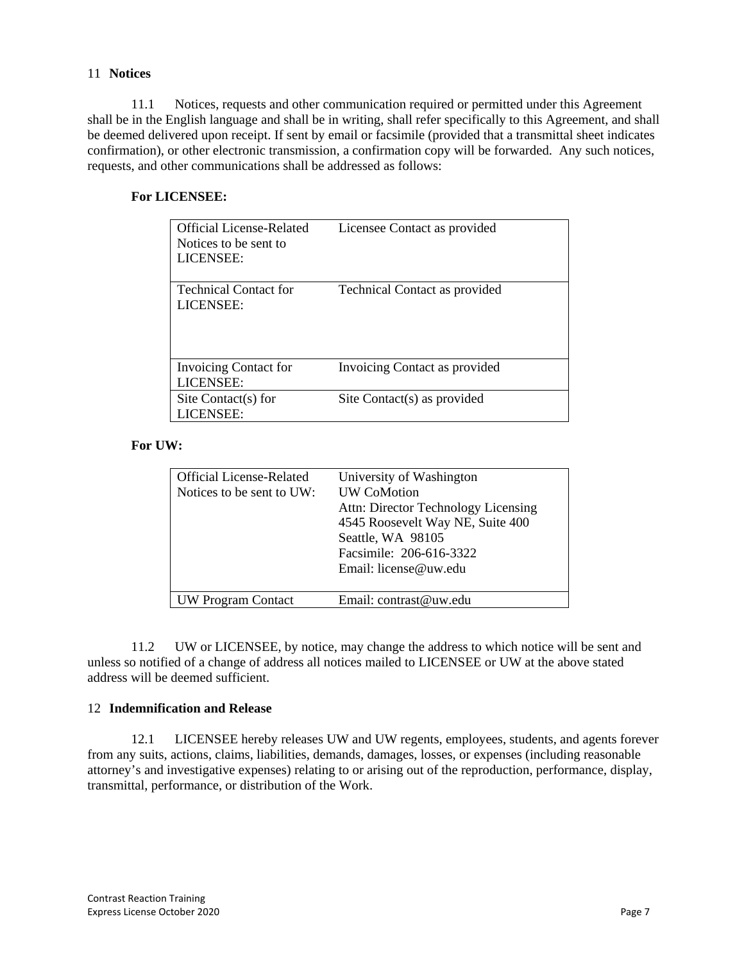## 11 **Notices**

11.1 Notices, requests and other communication required or permitted under this Agreement shall be in the English language and shall be in writing, shall refer specifically to this Agreement, and shall be deemed delivered upon receipt. If sent by email or facsimile (provided that a transmittal sheet indicates confirmation), or other electronic transmission, a confirmation copy will be forwarded. Any such notices, requests, and other communications shall be addressed as follows:

# **For LICENSEE:**

| <b>Official License-Related</b><br>Notices to be sent to<br>LICENSEE: | Licensee Contact as provided         |
|-----------------------------------------------------------------------|--------------------------------------|
| <b>Technical Contact for</b><br>LICENSEE:                             | <b>Technical Contact as provided</b> |
| <b>Invoicing Contact for</b><br>LICENSEE:                             | Invoicing Contact as provided        |
| Site Contact(s) for<br>LICENSEE:                                      | Site Contact(s) as provided          |

## **For UW:**

| <b>Official License-Related</b><br>Notices to be sent to UW: | University of Washington<br><b>UW CoMotion</b><br>Attn: Director Technology Licensing<br>4545 Roosevelt Way NE, Suite 400<br>Seattle, WA 98105<br>Facsimile: 206-616-3322<br>Email: license@uw.edu |
|--------------------------------------------------------------|----------------------------------------------------------------------------------------------------------------------------------------------------------------------------------------------------|
| <b>UW Program Contact</b>                                    | Email: contrast@uw.edu                                                                                                                                                                             |

11.2 UW or LICENSEE, by notice, may change the address to which notice will be sent and unless so notified of a change of address all notices mailed to LICENSEE or UW at the above stated address will be deemed sufficient.

## 12 **Indemnification and Release**

12.1 LICENSEE hereby releases UW and UW regents, employees, students, and agents forever from any suits, actions, claims, liabilities, demands, damages, losses, or expenses (including reasonable attorney's and investigative expenses) relating to or arising out of the reproduction, performance, display, transmittal, performance, or distribution of the Work.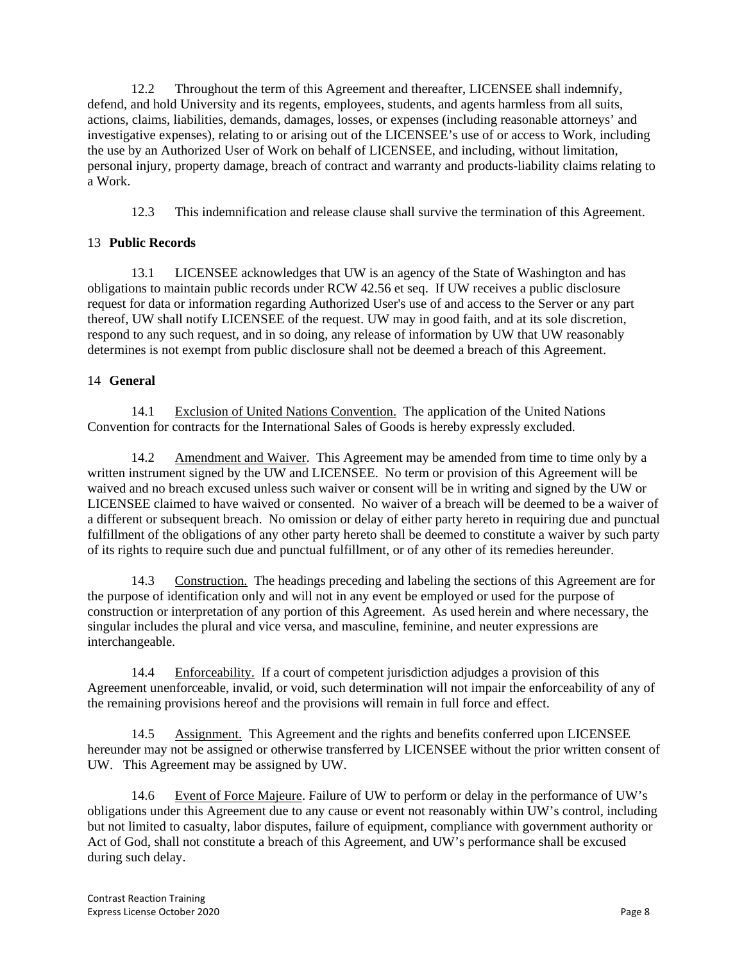12.2 Throughout the term of this Agreement and thereafter, LICENSEE shall indemnify, defend, and hold University and its regents, employees, students, and agents harmless from all suits, actions, claims, liabilities, demands, damages, losses, or expenses (including reasonable attorneys' and investigative expenses), relating to or arising out of the LICENSEE's use of or access to Work, including the use by an Authorized User of Work on behalf of LICENSEE, and including, without limitation, personal injury, property damage, breach of contract and warranty and products-liability claims relating to a Work.

12.3 This indemnification and release clause shall survive the termination of this Agreement.

# 13 **Public Records**

13.1 LICENSEE acknowledges that UW is an agency of the State of Washington and has obligations to maintain public records under RCW 42.56 et seq. If UW receives a public disclosure request for data or information regarding Authorized User's use of and access to the Server or any part thereof, UW shall notify LICENSEE of the request. UW may in good faith, and at its sole discretion, respond to any such request, and in so doing, any release of information by UW that UW reasonably determines is not exempt from public disclosure shall not be deemed a breach of this Agreement.

# 14 **General**

14.1 Exclusion of United Nations Convention. The application of the United Nations Convention for contracts for the International Sales of Goods is hereby expressly excluded.

14.2 Amendment and Waiver. This Agreement may be amended from time to time only by a written instrument signed by the UW and LICENSEE. No term or provision of this Agreement will be waived and no breach excused unless such waiver or consent will be in writing and signed by the UW or LICENSEE claimed to have waived or consented. No waiver of a breach will be deemed to be a waiver of a different or subsequent breach. No omission or delay of either party hereto in requiring due and punctual fulfillment of the obligations of any other party hereto shall be deemed to constitute a waiver by such party of its rights to require such due and punctual fulfillment, or of any other of its remedies hereunder.

14.3 Construction. The headings preceding and labeling the sections of this Agreement are for the purpose of identification only and will not in any event be employed or used for the purpose of construction or interpretation of any portion of this Agreement. As used herein and where necessary, the singular includes the plural and vice versa, and masculine, feminine, and neuter expressions are interchangeable.

14.4 Enforceability. If a court of competent jurisdiction adjudges a provision of this Agreement unenforceable, invalid, or void, such determination will not impair the enforceability of any of the remaining provisions hereof and the provisions will remain in full force and effect.

14.5 Assignment. This Agreement and the rights and benefits conferred upon LICENSEE hereunder may not be assigned or otherwise transferred by LICENSEE without the prior written consent of UW. This Agreement may be assigned by UW.

14.6 Event of Force Majeure. Failure of UW to perform or delay in the performance of UW's obligations under this Agreement due to any cause or event not reasonably within UW's control, including but not limited to casualty, labor disputes, failure of equipment, compliance with government authority or Act of God, shall not constitute a breach of this Agreement, and UW's performance shall be excused during such delay.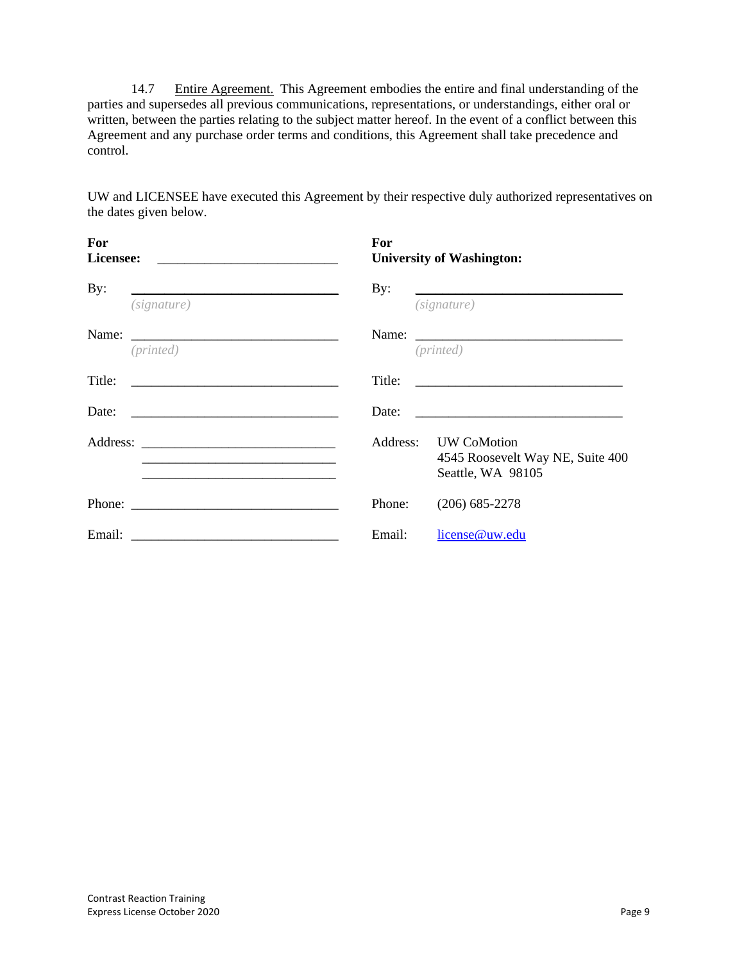14.7 Entire Agreement. This Agreement embodies the entire and final understanding of the parties and supersedes all previous communications, representations, or understandings, either oral or written, between the parties relating to the subject matter hereof. In the event of a conflict between this Agreement and any purchase order terms and conditions, this Agreement shall take precedence and control.

UW and LICENSEE have executed this Agreement by their respective duly authorized representatives on the dates given below.

| For                                                                 | For    |                                                                               |  |  |
|---------------------------------------------------------------------|--------|-------------------------------------------------------------------------------|--|--|
| Licensee:                                                           |        | <b>University of Washington:</b>                                              |  |  |
| By:<br><u> 1989 - Johann Barbara, martxa eta batarra (h. 1989).</u> | By:    |                                                                               |  |  |
| (signature)                                                         |        | (signature)                                                                   |  |  |
|                                                                     |        |                                                                               |  |  |
| (printed)                                                           |        | (printed)                                                                     |  |  |
| Title:                                                              | Title: | <u> 1989 - Johann Stein, mars ann an t-Amhain an t-</u>                       |  |  |
|                                                                     | Date:  |                                                                               |  |  |
|                                                                     |        | Address: UW CoMotion<br>4545 Roosevelt Way NE, Suite 400<br>Seattle, WA 98105 |  |  |
|                                                                     | Phone: | $(206)$ 685-2278                                                              |  |  |
|                                                                     | Email: | license@uw.edu                                                                |  |  |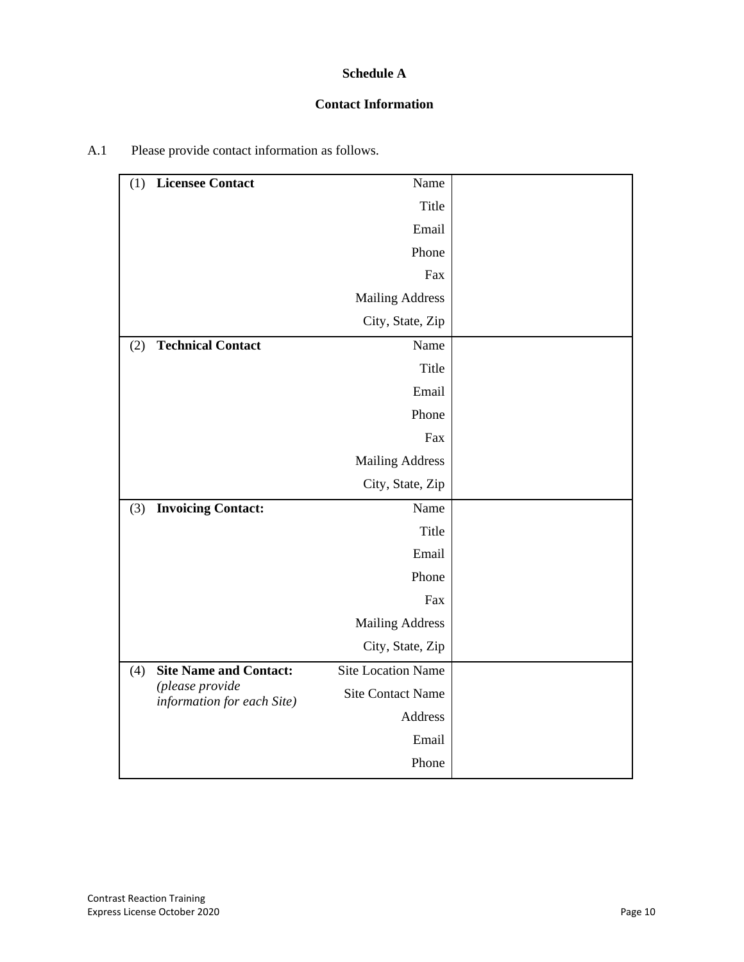# **Schedule A**

## **Contact Information**

| (1) | <b>Licensee Contact</b>                       | Name                      |  |
|-----|-----------------------------------------------|---------------------------|--|
|     |                                               | Title                     |  |
|     |                                               | Email                     |  |
|     |                                               | Phone                     |  |
|     |                                               | Fax                       |  |
|     |                                               | <b>Mailing Address</b>    |  |
|     |                                               | City, State, Zip          |  |
| (2) | <b>Technical Contact</b>                      | Name                      |  |
|     |                                               | Title                     |  |
|     |                                               | Email                     |  |
|     |                                               | Phone                     |  |
|     |                                               | Fax                       |  |
|     |                                               | <b>Mailing Address</b>    |  |
|     |                                               | City, State, Zip          |  |
| (3) | <b>Invoicing Contact:</b>                     | Name                      |  |
|     |                                               | Title                     |  |
|     |                                               | Email                     |  |
|     |                                               | Phone                     |  |
|     |                                               | Fax                       |  |
|     |                                               | <b>Mailing Address</b>    |  |
|     |                                               | City, State, Zip          |  |
| (4) | <b>Site Name and Contact:</b>                 | <b>Site Location Name</b> |  |
|     | (please provide<br>information for each Site) | <b>Site Contact Name</b>  |  |
|     |                                               | Address                   |  |
|     |                                               | Email                     |  |
|     |                                               | Phone                     |  |
|     |                                               |                           |  |

# A.1 Please provide contact information as follows.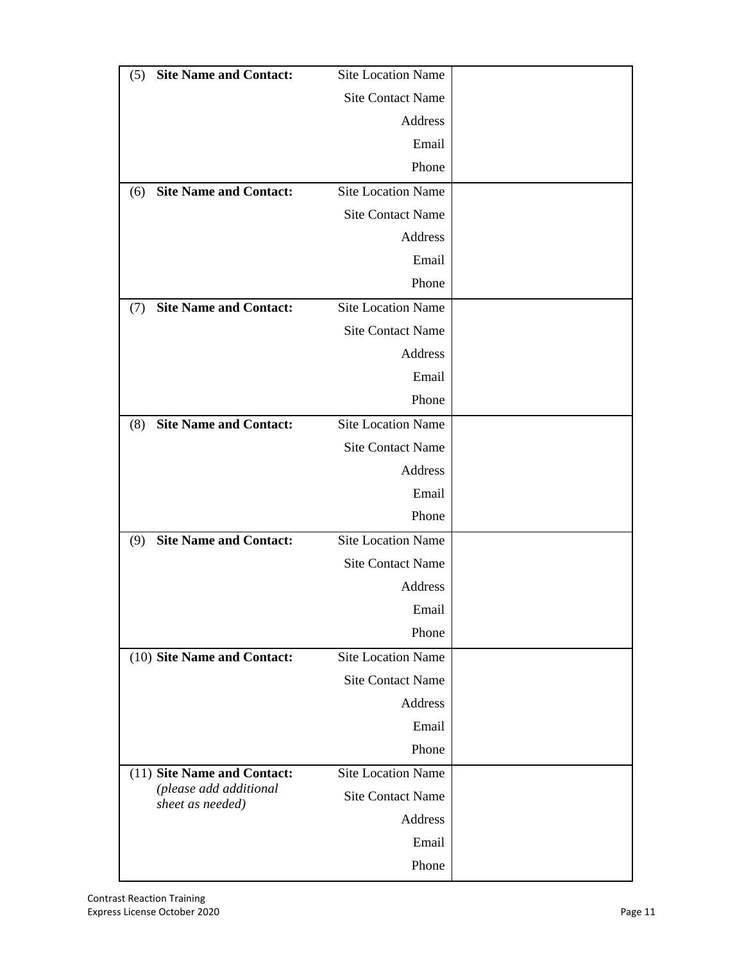| <b>Site Name and Contact:</b><br>(5)                  | Site Location Name        |  |
|-------------------------------------------------------|---------------------------|--|
|                                                       | <b>Site Contact Name</b>  |  |
|                                                       | Address                   |  |
|                                                       | Email                     |  |
|                                                       | Phone                     |  |
| <b>Site Name and Contact:</b><br>(6)                  | <b>Site Location Name</b> |  |
|                                                       | <b>Site Contact Name</b>  |  |
|                                                       | Address                   |  |
|                                                       | Email                     |  |
|                                                       | Phone                     |  |
| <b>Site Name and Contact:</b><br>(7)                  | <b>Site Location Name</b> |  |
|                                                       | <b>Site Contact Name</b>  |  |
|                                                       | Address                   |  |
|                                                       | Email                     |  |
|                                                       | Phone                     |  |
| <b>Site Name and Contact:</b><br>(8)                  | <b>Site Location Name</b> |  |
|                                                       | <b>Site Contact Name</b>  |  |
|                                                       | Address                   |  |
|                                                       | Email                     |  |
|                                                       | Phone                     |  |
| <b>Site Name and Contact:</b><br>(9)                  | Site Location Name        |  |
|                                                       | <b>Site Contact Name</b>  |  |
|                                                       | Address                   |  |
|                                                       | Email                     |  |
|                                                       | Phone                     |  |
| (10) Site Name and Contact:                           | <b>Site Location Name</b> |  |
|                                                       | <b>Site Contact Name</b>  |  |
|                                                       | Address                   |  |
|                                                       | Email                     |  |
|                                                       | Phone                     |  |
| (11) Site Name and Contact:<br>(please add additional | <b>Site Location Name</b> |  |
| sheet as needed)                                      | <b>Site Contact Name</b>  |  |
|                                                       | Address                   |  |
|                                                       | Email                     |  |
|                                                       | Phone                     |  |